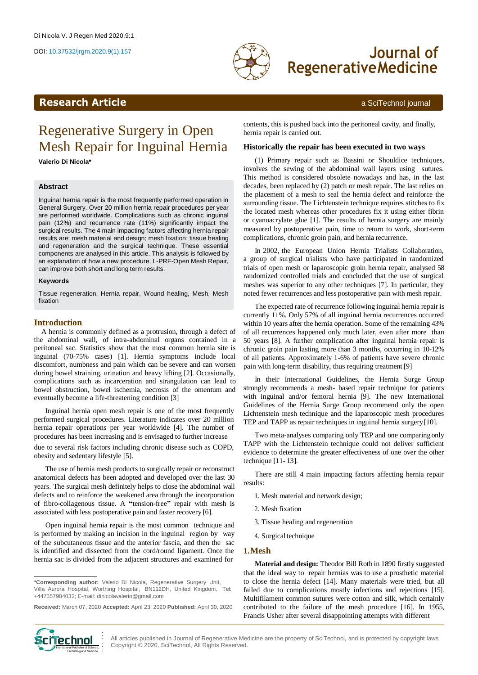

# DOI: 10.37532/jrgm.2020.9(1).157 **Journal of RegenerativeMedicine**

# <span id="page-0-0"></span>**Research Article** a SciTechnol journal

# Regenerative Surgery in Open Mesh Repair for Inguinal Hernia

**Valerio Di Nicola\***

### **Abstract**

Inguinal hernia repair is the most frequently performed operation in General Surgery. Over 20 million hernia repair procedures per year are performed worldwide. Complications such as chronic inguinal pain (12%) and recurrence rate (11%) significantly impact the surgical results. The 4 main impacting factors affecting hernia repair results are: mesh material and design; mesh fixation; tissue healing and regeneration and the surgical technique. These essential components are analysed in this article. This analysis is followed by an explanation of how a new procedure, L-PRF-Open Mesh Repair, can improve both short and long term results.

#### **Keywords**

Tissue regeneration, Hernia repair, Wound healing, Mesh, Mesh fixation

### **Introduction**

A hernia is commonly defined as a protrusion, through a defect of the abdominal wall, of intra-abdominal organs contained in a peritoneal sac. Statistics show that the most common hernia site is inguinal (70-75% cases) [1]. Hernia symptoms include local discomfort, numbness and pain which can be severe and can worsen during bowel straining, urination and heavy lifting [2]. Occasionally, complications such as incarceration and strangulation can lead to bowel obstruction, bowel ischemia, necrosis of the omentum and eventually become a life-threatening condition [3]

Inguinal hernia open mesh repair is one of the most frequently performed surgical procedures. Literature indicates over 20 million hernia repair operations per year worldwide [4]. The number of procedures has been increasing and is envisaged to further increase

due to several risk factors including chronic disease such as COPD, obesity and sedentary lifestyle [5].

The use of hernia mesh products to surgically repair or reconstruct anatomical defects has been adopted and developed over the last 30 years. The surgical mesh definitely helps to close the abdominal wall defects and to reinforce the weakened area through the incorporation of fibro-collagenous tissue. A **"**tension-free**"** repair with mesh is associated with less postoperative pain and faster recovery [6].

Open inguinal hernia repair is the most common technique and is performed by making an incision in the inguinal region by way of the subcutaneous tissue and the anterior fascia, and then the sac is identified and dissected from the cord/round ligament. Once the hernia sac is divided from the adjacent structures and examined for

contents, this is pushed back into the peritoneal cavity, and finally, hernia repair is carried out.

#### **Historically the repair has been executed in two ways**

(1) Primary repair such as Bassini or Shouldice techniques, involves the sewing of the abdominal wall layers using sutures. This method is considered obsolete nowadays and has, in the last decades, been replaced by (2) patch or mesh repair. The last relies on the placement of a mesh to seal the hernia defect and reinforce the surrounding tissue. The Lichtenstein technique requires stitches to fix the located mesh whereas other procedures fix it using either fibrin or cyanoacrylate glue [1]. The results of hernia surgery are mainly measured by postoperative pain, time to return to work, short-term complications, chronic groin pain, and hernia recurrence.

In 2002, the European Union Hernia Trialists Collaboration, a group of surgical trialists who have participated in randomized trials of open mesh or laparoscopic groin hernia repair, analysed 58 randomized controlled trials and concluded that the use of surgical meshes was superior to any other techniques [7]. In particular, they noted fewer recurrences and less postoperative pain with mesh repair.

The expected rate of recurrence following inguinal hernia repair is currently 11%. Only 57% of all inguinal hernia recurrences occurred within 10 years after the hernia operation. Some of the remaining 43% of all recurrences happened only much later, even after more than 50 years [8]. A further complication after inguinal hernia repair is chronic groin pain lasting more than 3 months, occurring in 10-12% of all patients. Approximately 1-6% of patients have severe chronic pain with long-term disability, thus requiring treatment [9]

In their International Guidelines, the Hernia Surge Group strongly recommends a mesh- based repair technique for patients with inguinal and/or femoral hernia [9]. The new International Guidelines of the Hernia Surge Group recommend only the open Lichtenstein mesh technique and the laparoscopic mesh procedures TEP and TAPP as repair techniques in inguinal hernia surgery[10].

Two meta-analyses comparing only TEP and one comparingonly TAPP with the Lichtenstein technique could not deliver sufficient evidence to determine the greater effectiveness of one over the other technique [11- 13].

There are still 4 main impacting factors affecting hernia repair results:

- 1. Mesh material and network design;
- 2. Mesh fixation
- 3. Tissue healing and regeneration
- 4. Surgical technique

#### **1.Mesh**

**Material and design:** Theodor Bill Roth in 1890 firstly suggested that the ideal way to repair hernias was to use a prosthetic material to close the hernia defect [14]. Many materials were tried, but all failed due to complications mostly infections and rejections [15]. Multifilament common sutures were cotton and silk, which certainly contributed to the failure of the mesh procedure [16]. In 1955, Francis Usher after several disappointing attempts with different



All articles published in Journal of Regenerative Medicine are the property of SciTechnol, and is protected by copyright laws. Copyright © 2020, SciTechnol, All Rights Reserved.

**<sup>\*</sup>Corresponding author:** Valerio Di Nicola, Regenerative Surgery Unit, Villa Aurora Hospital, Worthing Hospital, BN112DH, United Kingdom, Tel: +447557904032; E-mail[: dinicolavalerio@gmail.com](mailto:dinicolavalerio@gmail.com)

**Received:** March 07, 2020 **Accepted:** April 23, 2020 **Published:** April 30, 2020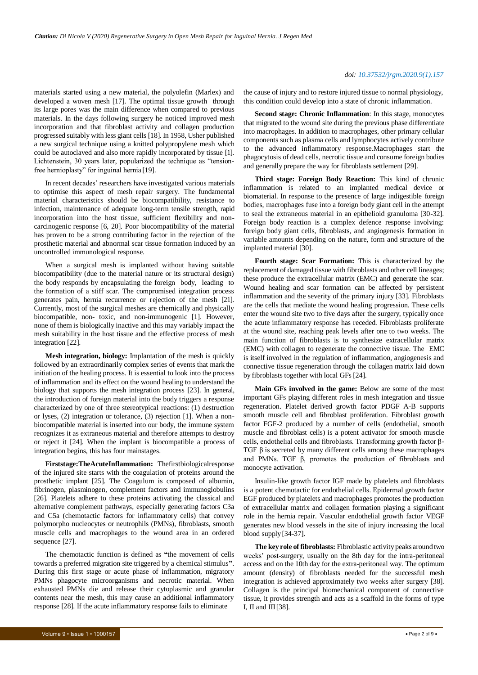materials started using a new material, the polyolefin (Marlex) and developed a woven mesh [17]. The optimal tissue growth through its large pores was the main difference when compared to previous materials. In the days following surgery he noticed improved mesh incorporation and that fibroblast activity and collagen production progressed suitably with less giant cells [18]. In 1958, Usher published a new surgical technique using a knitted polypropylene mesh which could be autoclaved and also more rapidly incorporated by tissue [1]. Lichtenstein, 30 years later, popularized the technique as "tensionfree hernioplasty" for inguinal hernia [19].

In recent decades' researchers have investigated various materials to optimise this aspect of mesh repair surgery. The fundamental material characteristics should be biocompatibility, resistance to infection, maintenance of adequate long-term tensile strength, rapid incorporation into the host tissue, sufficient flexibility and noncarcinogenic response [6, 20]. Poor biocompatibility of the material has proven to be a strong contributing factor in the rejection of the prosthetic material and abnormal scar tissue formation induced by an uncontrolled immunological response.

When a surgical mesh is implanted without having suitable biocompatibility (due to the material nature or its structural design) the body responds by encapsulating the foreign body, leading to the formation of a stiff scar. The compromised integration process generates pain, hernia recurrence or rejection of the mesh [21]. Currently, most of the surgical meshes are chemically and physically biocompatible, non- toxic, and non-immunogenic [1]. However, none of them is biologically inactive and this may variably impact the mesh suitability in the host tissue and the effective process of mesh integration [22].

**Mesh integration, biology:** Implantation of the mesh is quickly followed by an extraordinarily complex series of events that mark the initiation of the healing process. It is essential to look into the process of inflammation and its effect on the wound healing to understand the biology that supports the mesh integration process [23]. In general, the introduction of foreign material into the body triggers a response characterized by one of three stereotypical reactions: (1) destruction or lyses, (2) integration or tolerance, (3) rejection [1]. When a nonbiocompatible material is inserted into our body, the immune system recognizes it as extraneous material and therefore attempts to destroy or reject it [24]. When the implant is biocompatible a process of integration begins, this has four mainstages.

**Firststage:TheAcuteInflammation:** Thefirstbiologicalresponse of the injured site starts with the coagulation of proteins around the prosthetic implant [25]. The Coagulum is composed of albumin, fibrinogen, plasminogen, complement factors and immunoglobulins [26]. Platelets adhere to these proteins activating the classical and alternative complement pathways, especially generating factors C3a and C5a (chemotactic factors for inflammatory cells) that convey polymorpho nucleocytes or neutrophils (PMNs), fibroblasts, smooth muscle cells and macrophages to the wound area in an ordered sequence [27].

The chemotactic function is defined as **"**the movement of cells towards a preferred migration site triggered by a chemical stimulus**"**. During this first stage or acute phase of inflammation, migratory PMNs phagocyte microorganisms and necrotic material. When exhausted PMNs die and release their cytoplasmic and granular contents near the mesh, this may cause an additional inflammatory response [28]. If the acute inflammatory response fails to eliminate

the cause of injury and to restore injured tissue to normal physiology, this condition could develop into a state of chronic inflammation.

**Second stage: Chronic Inflammation**: In this stage, monocytes that migrated to the wound site during the previous phase differentiate into macrophages. In addition to macrophages, other primary cellular components such as plasma cells and lymphocytes actively contribute to the advanced inflammatory response.Macrophages start the phagocytosis of dead cells, necrotic tissue and consume foreign bodies and generally prepare the way for fibroblasts settlement [29].

**Third stage: Foreign Body Reaction:** This kind of chronic inflammation is related to an implanted medical device or biomaterial. In response to the presence of large indigestible foreign bodies, macrophages fuse into a foreign body giant cell in the attempt to seal the extraneous material in an epithelioid granuloma [30-32]. Foreign body reaction is a complex defence response involving: foreign body giant cells, fibroblasts, and angiogenesis formation in variable amounts depending on the nature, form and structure of the implanted material [30].

**Fourth stage: Scar Formation:** This is characterized by the replacement of damaged tissue with fibroblasts and other cell lineages; these produce the extracellular matrix (EMC) and generate the scar. Wound healing and scar formation can be affected by persistent inflammation and the severity of the primary injury [33]. Fibroblasts are the cells that mediate the wound healing progression. These cells enter the wound site two to five days after the surgery, typically once the acute inflammatory response has receded. Fibroblasts proliferate at the wound site, reaching peak levels after one to two weeks. The main function of fibroblasts is to synthesize extracellular matrix (EMC) with collagen to regenerate the connective tissue. The EMC is itself involved in the regulation of inflammation, angiogenesis and connective tissue regeneration through the collagen matrix laid down by fibroblasts together with local GFs [24].

**Main GFs involved in the game:** Below are some of the most important GFs playing different roles in mesh integration and tissue regeneration. Platelet derived growth factor PDGF A-B supports smooth muscle cell and fibroblast proliferation. Fibroblast growth factor FGF-2 produced by a number of cells (endothelial, smooth muscle and fibroblast cells) is a potent activator for smooth muscle cells, endothelial cells and fibroblasts. Transforming growth factor β-TGF  $\beta$  is secreted by many different cells among these macrophages and PMNs. TGF β, promotes the production of fibroblasts and monocyte activation.

Insulin-like growth factor IGF made by platelets and fibroblasts is a potent chemotactic for endothelial cells. Epidermal growth factor EGF produced by platelets and macrophages promotes the production of extracellular matrix and collagen formation playing a significant role in the hernia repair. Vascular endothelial growth factor VEGF generates new blood vessels in the site of injury increasing the local blood supply [34-37].

**The key role of fibroblasts:** Fibroblastic activity peaks around two weeks' post-surgery, usually on the 8th day for the intra-peritoneal access and on the 10th day for the extra-peritoneal way. The optimum amount (density) of fibroblasts needed for the successful mesh integration is achieved approximately two weeks after surgery [38]. Collagen is the principal biomechanical component of connective tissue, it provides strength and acts as a scaffold in the forms of type I, II and III[38].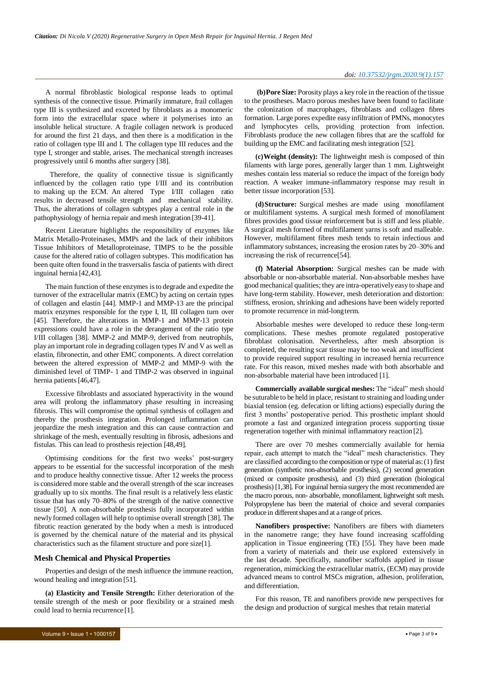#### *doi: 10.37532/jrgm.2020.9(1).157*

A normal fibroblastic biological response leads to optimal synthesis of the connective tissue. Primarily immature, frail collagen type III is synthesized and excreted by fibroblasts as a monomeric form into the extracellular space where it polymerises into an insoluble helical structure. A fragile collagen network is produced for around the first 21 days, and then there is a modification in the ratio of collagen type III and I. The collagen type III reduces and the type I, stronger and stable, arises. The mechanical strength increases progressively until 6 months after surgery [38].

Therefore, the quality of connective tissue is significantly influenced by the collagen ratio type I/III and its contribution to making up the ECM. An altered Type I/III collagen ratio results in decreased tensile strength and mechanical stability. Thus, the alterations of collagen subtypes play a central role in the pathophysiology of hernia repair and mesh integration [39-41].

Recent Literature highlights the responsibility of enzymes like Matrix Metallo-Proteinases, MMPs and the lack of their inhibitors Tissue Inhibitors of Metalloproteinase, TIMPS to be the possible cause for the altered ratio of collagen subtypes. This modification has been quite often found in the trasversalis fascia of patients with direct inguinal hernia [42,43].

The main function of these enzymes isto degrade and expedite the turnover of the extracellular matrix (EMC) by acting on certain types of collagen and elastin [44]. MMP-1 and MMP-13 are the principal matrix enzymes responsible for the type I, II, III collagen turn over [45]. Therefore, the alterations in MMP-1 and MMP-13 protein expressions could have a role in the derangement of the ratio type I/III collagen [38]. MMP-2 and MMP-9, derived from neutrophils, play an important role in degrading collagen types IV and V as well as elastin, fibronectin, and other EMC components. A direct correlation between the altered expression of MMP-2 and MMP-9 with the diminished level of TIMP- 1 and TIMP-2 was observed in inguinal hernia patients [46,47].

Excessive fibroblasts and associated hyperactivity in the wound area will prolong the inflammatory phase resulting in increasing fibrosis. This will compromise the optimal synthesis of collagen and thereby the prosthesis integration. Prolonged inflammation can jeopardize the mesh integration and this can cause contraction and shrinkage of the mesh, eventually resulting in fibrosis, adhesions and fistulas. This can lead to prosthesis rejection [48,49].

Optimising conditions for the first two weeks' post-surgery appears to be essential for the successful incorporation of the mesh and to produce healthy connective tissue. After 12 weeks the process is considered more stable and the overall strength of the scar increases gradually up to six months. The final result is a relatively less elastic tissue that has only 70–80% of the strength of the native connective tissue [50]. A non-absorbable prosthesis fully incorporated within newly formed collagen will help to optimise overall strength [38]. The fibrotic reaction generated by the body when a mesh is introduced is governed by the chemical nature of the material and its physical characteristics such as the filament structure and pore size[1].

#### **Mesh Chemical and Physical Properties**

Properties and design of the mesh influence the immune reaction, wound healing and integration [51].

**(a) Elasticity and Tensile Strength:** Either deterioration of the tensile strength of the mesh or poor flexibility or a strained mesh could lead to hernia recurrence [1].

**(b)Pore Size:** Porosity plays a key role in the reaction of the tissue to the prostheses. Macro porous meshes have been found to facilitate the colonization of macrophages, fibroblasts and collagen fibres formation. Large pores expedite easy infiltration of PMNs, monocytes and lymphocytes cells, providing protection from infection. Fibroblasts produce the new collagen fibres that are the scaffold for building up the EMC and facilitating mesh integration [52].

**(c)Weight (density):** The lightweight mesh is composed of thin filaments with large pores, generally larger than 1 mm. Lightweight meshes contain less material so reduce the impact of the foreign body reaction. A weaker immune-inflammatory response may result in better tissue incorporation [53].

**(d)Structure:** Surgical meshes are made using monofilament or multifilament systems. A surgical mesh formed of monofilament fibres provides good tissue reinforcement but is stiff and less pliable. A surgical mesh formed of multifilament yarns is soft and malleable. However, multifilament fibres mesh tends to retain infectious and inflammatory substances, increasing the erosion rates by 20–30% and increasing the risk of recurrence[54].

**(f) Material Absorption:** Surgical meshes can be made with absorbable or non-absorbable material. Non-absorbable meshes have good mechanical qualities; they are intra-operatively easy to shape and have long-term stability. However, mesh deterioration and distortion: stiffness, erosion, shrinking and adhesions have been widely reported to promote recurrence in mid-longterm.

Absorbable meshes were developed to reduce these long-term complications. These meshes promote regulated postoperative fibroblast colonisation. Nevertheless, after mesh absorption is completed, the resulting scar tissue may be too weak and insufficient to provide required support resulting in increased hernia recurrence rate. For this reason, mixed meshes made with both absorbable and non-absorbable material have been introduced [1].

**Commercially available surgical meshes:** The "ideal" mesh should be suturable to be held in place, resistant to straining and loading under biaxial tension (eg. defecation or lifting actions) especially during the first 3 months' postoperative period. This prosthetic implant should promote a fast and organized integration process supporting tissue regeneration together with minimal inflammatory reaction [2].

There are over 70 meshes commercially available for hernia repair, each attempt to match the "ideal" mesh characteristics. They are classified according to the composition or type of material as:(1) first generation (synthetic non-absorbable prosthesis), (2) second generation (mixed or composite prosthesis), and (3) third generation (biological prosthesis) [1,38]. For inguinal hernia surgery the most recommended are the macro porous, non- absorbable, monofilament, lightweight soft mesh. Polypropylene has been the material of choice and several companies produce in different shapes and at a range of prices.

**Nanofibers prospective:** Nanofibers are fibers with diameters in the nanometre range; they have found increasing scaffolding application in Tissue engineering (TE) [55]. They have been made from a variety of materials and their use explored extensively in the last decade. Specifically, nanofiber scaffolds applied in tissue regeneration, mimicking the extracellular matrix, (ECM) may provide advanced means to control MSCs migration, adhesion, proliferation, and differentiation.

For this reason, TE and nanofibers provide new perspectives for the design and production of surgical meshes that retain material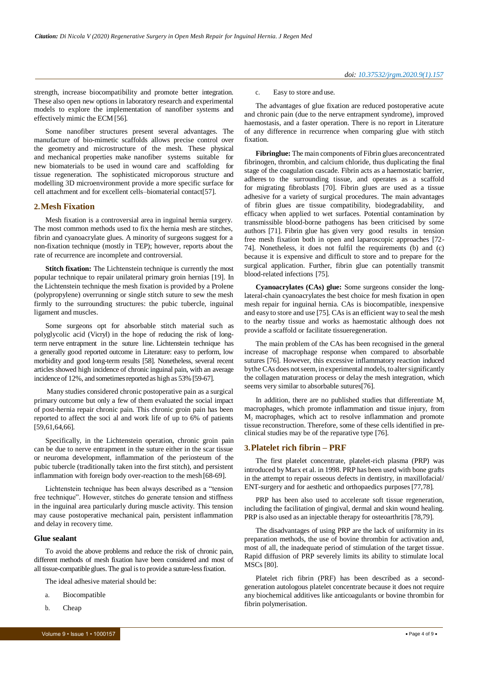strength, increase biocompatibility and promote better integration. These also open new options in laboratory research and experimental models to explore the implementation of nanofiber systems and effectively mimic the ECM [56].

Some nanofiber structures present several advantages. The manufacture of bio-mimetic scaffolds allows precise control over the geometry and microstructure of the mesh. These physical and mechanical properties make nanofiber systems suitable for new biomaterials to be used in wound care and scaffolding for tissue regeneration. The sophisticated microporous structure and modelling 3D microenvironment provide a more specific surface for cell attachment and for excellent cells–biomaterial contact[57].

#### **2.Mesh Fixation**

Mesh fixation is a controversial area in inguinal hernia surgery. The most common methods used to fix the hernia mesh are stitches, fibrin and cyanoacrylate glues. A minority of surgeons suggest for a non-fixation technique (mostly in TEP); however, reports about the rate of recurrence are incomplete and controversial.

**Stitch fixation:** The Lichtenstein technique is currently the most popular technique to repair unilateral primary groin hernias [19]. In the Lichtenstein technique the mesh fixation is provided by a Prolene (polypropylene) overrunning or single stitch suture to sew the mesh firmly to the surrounding structures: the pubic tubercle, inguinal ligament and muscles.

Some surgeons opt for absorbable stitch material such as polyglycolic acid (Vicryl) in the hope of reducing the risk of longterm nerve entrapment in the suture line. Lichtenstein technique has a generally good reported outcome in Literature: easy to perform, low morbidity and good long-term results [58]. Nonetheless, several recent articles showed high incidence of chronic inguinal pain, with an average incidence of 12%, and sometimes reported as high as 53% [59-67].

Many studies considered chronic postoperative pain as a surgical primary outcome but only a few of them evaluated the social impact of post-hernia repair chronic pain. This chronic groin pain has been reported to affect the soci al and work life of up to 6% of patients [59,61,64,66].

Specifically, in the Lichtenstein operation, chronic groin pain can be due to nerve entrapment in the suture either in the scar tissue or neuroma development, inflammation of the periosteum of the pubic tubercle (traditionally taken into the first stitch), and persistent inflammation with foreign body over-reaction to the mesh [68-69].

Lichtenstein technique has been always described as a "tension free technique". However, stitches do generate tension and stiffness in the inguinal area particularly during muscle activity. This tension may cause postoperative mechanical pain, persistent inflammation and delay in recovery time.

### **Glue sealant**

To avoid the above problems and reduce the risk of chronic pain, different methods of mesh fixation have been considered and most of all tissue-compatible glues.The goal isto provide a suture-lessfixation.

The ideal adhesive material should be:

- a. Biocompatible
- b. Cheap

### c. Easy to store and use.

The advantages of glue fixation are reduced postoperative acute and chronic pain (due to the nerve entrapment syndrome), improved haemostasis, and a faster operation. There is no report in Literature of any difference in recurrence when comparing glue with stitch fixation.

**Fibringlue:** The main components of Fibrin glues areconcentrated fibrinogen, thrombin, and calcium chloride, thus duplicating the final stage of the coagulation cascade. Fibrin acts as a haemostatic barrier, adheres to the surrounding tissue, and operates as a scaffold for migrating fibroblasts [70]. Fibrin glues are used as a tissue adhesive for a variety of surgical procedures. The main advantages of fibrin glues are tissue compatibility, biodegradability, and efficacy when applied to wet surfaces. Potential contamination by transmissible blood-borne pathogens has been criticised by some authors [71]. Fibrin glue has given very good results in tension free mesh fixation both in open and laparoscopic approaches [72- 74]. Nonetheless, it does not fulfil the requirements (b) and (c) because it is expensive and difficult to store and to prepare for the surgical application. Further, fibrin glue can potentially transmit blood-related infections [75].

**Cyanoacrylates (CAs) glue:** Some surgeons consider the longlateral-chain cyanoacrylates the best choice for mesh fixation in open mesh repair for inguinal hernia. CAs is biocompatible, inexpensive and easy to store and use [75]. CAs is an efficient way to seal the mesh to the nearby tissue and works as haemostatic although does not provide a scaffold or facilitate tissueregeneration.

The main problem of the CAs has been recognised in the general increase of macrophage response when compared to absorbable sutures [76]. However, this excessive inflammatory reaction induced bythe CAs does not seem, in experimental models, to alter significantly the collagen maturation process or delay the mesh integration, which seems very similar to absorbable sutures[76].

In addition, there are no published studies that differentiate  $M<sub>1</sub>$ macrophages, which promote inflammation and tissue injury, from M<sub>2</sub> macrophages, which act to resolve inflammation and promote tissue reconstruction. Therefore, some of these cells identified in preclinical studies may be of the reparative type [76].

## **3.Platelet rich fibrin – PRF**

The first platelet concentrate, platelet-rich plasma (PRP) was introduced byMarx et al. in 1998. PRP has been used with bone grafts in the attempt to repair osseous defects in dentistry, in maxillofacial/ ENT-surgery and for aesthetic and orthopaedics purposes[77,78].

PRP has been also used to accelerate soft tissue regeneration, including the facilitation of gingival, dermal and skin wound healing. PRP is also used as an injectable therapy for osteoarthritis [78,79].

The disadvantages of using PRP are the lack of uniformity in its preparation methods, the use of bovine thrombin for activation and, most of all, the inadequate period of stimulation of the target tissue. Rapid diffusion of PRP severely limits its ability to stimulate local MSCs [80].

Platelet rich fibrin (PRF) has been described as a secondgeneration autologous platelet concentrate because it does not require any biochemical additives like anticoagulants or bovine thrombin for fibrin polymerisation.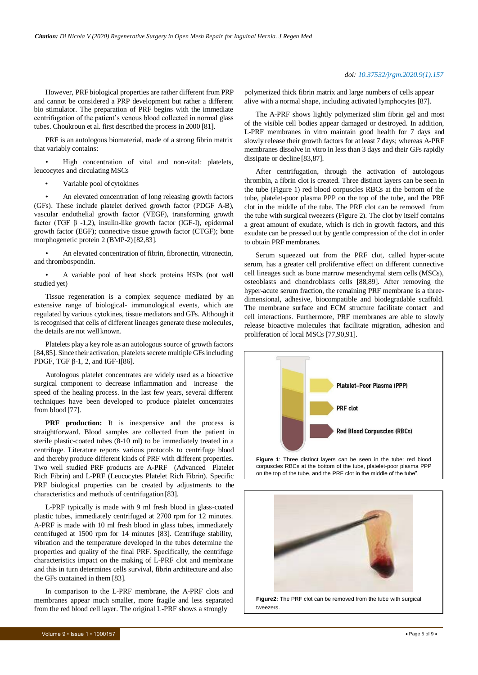However, PRF biological properties are rather different from PRP and cannot be considered a PRP development but rather a different bio stimulator. The preparation of PRF begins with the immediate centrifugation of the patient's venous blood collected in normal glass tubes. Choukroun et al. first described the process in 2000 [81].

PRF is an autologous biomaterial, made of a strong fibrin matrix that variably contains:

• High concentration of vital and non-vital: platelets, leucocytes and circulating MSCs

Variable pool of cytokines

An elevated concentration of long releasing growth factors (GFs). These include platelet derived growth factor (PDGF A-B), vascular endothelial growth factor (VEGF), transforming growth factor (TGF β -1,2), insulin-like growth factor (IGF-I), epidermal growth factor (EGF); connective tissue growth factor (CTGF); bone morphogenetic protein 2 (BMP-2) [82,83].

• An elevated concentration of fibrin, fibronectin, vitronectin, and thrombospondin.

• A variable pool of heat shock proteins HSPs (not well studied yet)

Tissue regeneration is a complex sequence mediated by an extensive range of biological- immunological events, which are regulated by various cytokines, tissue mediators and GFs. Although it is recognised that cells of different lineages generate these molecules, the details are not well known.

Platelets play a key role as an autologous source of growth factors [84,85]. Since their activation, platelets secrete multiple GFs including PDGF, TGF β-1, 2, and IGF-I[86].

Autologous platelet concentrates are widely used as a bioactive surgical component to decrease inflammation and increase the speed of the healing process. In the last few years, several different techniques have been developed to produce platelet concentrates from blood [77].

**PRF production:** It is inexpensive and the process is straightforward. Blood samples are collected from the patient in sterile plastic-coated tubes (8-10 ml) to be immediately treated in a centrifuge. Literature reports various protocols to centrifuge blood and thereby produce different kinds of PRF with different properties. Two well studied PRF products are A-PRF (Advanced Platelet Rich Fibrin) and L-PRF (Leucocytes Platelet Rich Fibrin). Specific PRF biological properties can be created by adjustments to the characteristics and methods of centrifugation [83].

L-PRF typically is made with 9 ml fresh blood in glass-coated plastic tubes, immediately centrifuged at 2700 rpm for 12 minutes. A-PRF is made with 10 ml fresh blood in glass tubes, immediately centrifuged at 1500 rpm for 14 minutes [83]. Centrifuge stability, vibration and the temperature developed in the tubes determine the properties and quality of the final PRF. Specifically, the centrifuge characteristics impact on the making of L-PRF clot and membrane and this in turn determines cells survival, fibrin architecture and also the GFs contained in them [83].

In comparison to the L-PRF membrane, the A-PRF clots and membranes appear much smaller, more fragile and less separated from the red blood cell layer. The original L-PRF shows a strongly

polymerized thick fibrin matrix and large numbers of cells appear alive with a normal shape, including activated lymphocytes [87].

The A-PRF shows lightly polymerized slim fibrin gel and most of the visible cell bodies appear damaged or destroyed. In addition, L-PRF membranes in vitro maintain good health for 7 days and slowly release their growth factors for at least 7 days; whereas A-PRF membranes dissolve in vitro in less than 3 days and their GFs rapidly dissipate or decline [83,87].

After centrifugation, through the activation of autologous thrombin, a fibrin clot is created. Three distinct layers can be seen in the tube (Figure 1) red blood corpuscles RBCs at the bottom of the tube, platelet-poor plasma PPP on the top of the tube, and the PRF clot in the middle of the tube. The PRF clot can be removed from the tube with surgical tweezers (Figure 2). The clot by itself contains a great amount of exudate, which is rich in growth factors, and this exudate can be pressed out by gentle compression of the clot in order to obtain PRF membranes.

Serum squeezed out from the PRF clot, called hyper-acute serum, has a greater cell proliferative effect on different connective cell lineages such as bone marrow mesenchymal stem cells (MSCs), osteoblasts and chondroblasts cells [88,89]. After removing the hyper-acute serum fraction, the remaining PRF membrane is a threedimensional, adhesive, biocompatible and biodegradable scaffold. The membrane surface and ECM structure facilitate contact and cell interactions. Furthermore, PRF membranes are able to slowly release bioactive molecules that facilitate migration, adhesion and proliferation of local MSCs [77,90,91].



corpuscles RBCs at the bottom of the tube, platelet-poor plasma PPP on the top of the tube, and the PRF clot in the middle of the tube".

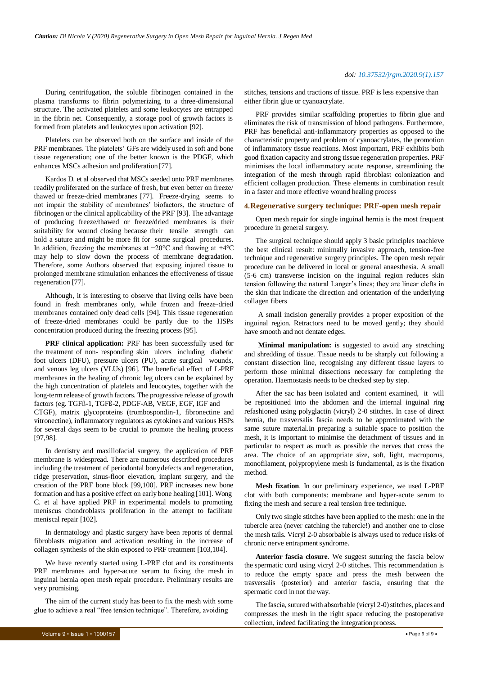During centrifugation, the soluble fibrinogen contained in the plasma transforms to fibrin polymerizing to a three-dimensional structure. The activated platelets and some leukocytes are entrapped in the fibrin net. Consequently, a storage pool of growth factors is formed from platelets and leukocytes upon activation [92].

Platelets can be observed both on the surface and inside of the PRF membranes. The platelets' GFs are widely used in soft and bone tissue regeneration; one of the better known is the PDGF, which enhances MSCs adhesion and proliferation [77].

Kardos D. et al observed that MSCs seeded onto PRF membranes readily proliferated on the surface of fresh, but even better on freeze/ thawed or freeze-dried membranes [77]. Freeze-drying seems to not impair the stability of membranes' biofactors, the structure of fibrinogen or the clinical applicability of the PRF [93]. The advantage of producing freeze/thawed or freeze/dried membranes is their suitability for wound closing because their tensile strength can hold a suture and might be more fit for some surgical procedures. In addition, freezing the membranes at −20°C and thawing at +4°C may help to slow down the process of membrane degradation. Therefore, some Authors observed that exposing injured tissue to prolonged membrane stimulation enhances the effectiveness of tissue regeneration [77].

Although, it is interesting to observe that living cells have been found in fresh membranes only, while frozen and freeze-dried membranes contained only dead cells [94]. This tissue regeneration of freeze-dried membranes could be partly due to the HSPs concentration produced during the freezing process [95].

**PRF clinical application:** PRF has been successfully used for the treatment of non- responding skin ulcers including diabetic foot ulcers (DFU), pressure ulcers (PU), acute surgical wounds, and venous leg ulcers (VLUs) [96]. The beneficial effect of L-PRF membranes in the healing of chronic leg ulcers can be explained by the high concentration of platelets and leucocytes, together with the long-term release of growth factors. The progressive release of growth factors (eg. TGFß-1, TGFß-2, PDGF-AB, VEGF, EGF, IGF and CTGF), matrix glycoproteins (trombospondin-1, fibronectine and vitronectine), inflammatory regulators as cytokines and various HSPs for several days seem to be crucial to promote the healing process [97,98].

In dentistry and maxillofacial surgery, the application of PRF membrane is widespread. There are numerous described procedures including the treatment of periodontal bonydefects and regeneration, ridge preservation, sinus-floor elevation, implant surgery, and the creation of the PRF bone block [99,100]. PRF increases new bone formation and has a positive effect on early bone healing [101]. Wong C. et al have applied PRF in experimental models to promoting meniscus chondroblasts proliferation in the attempt to facilitate meniscal repair [102].

In dermatology and plastic surgery have been reports of dermal fibroblasts migration and activation resulting in the increase of collagen synthesis of the skin exposed to PRF treatment [103,104].

We have recently started using L-PRF clot and its constituents PRF membranes and hyper-acute serum to fixing the mesh in inguinal hernia open mesh repair procedure. Preliminary results are very promising.

The aim of the current study has been to fix the mesh with some glue to achieve a real "free tension technique". Therefore, avoiding

PRF provides similar scaffolding properties to fibrin glue and eliminates the risk of transmission of blood pathogens. Furthermore, PRF has beneficial anti-inflammatory properties as opposed to the characteristic property and problem of cyanoacrylates, the promotion of inflammatory tissue reactions. Most important, PRF exhibits both good fixation capacity and strong tissue regeneration properties. PRF minimises the local inflammatory acute response, streamlining the integration of the mesh through rapid fibroblast colonization and efficient collagen production. These elements in combination result in a faster and more effective wound healing process

#### **4.Regenerative surgery technique: PRF-open mesh repair**

Open mesh repair for single inguinal hernia is the most frequent procedure in general surgery.

The surgical technique should apply 3 basic principles toachieve the best clinical result: minimally invasive approach, tension-free technique and regenerative surgery principles. The open mesh repair procedure can be delivered in local or general anaesthesia. A small (5-6 cm) transverse incision on the inguinal region reduces skin tension following the natural Langer's lines; they are linear clefts in the skin that indicate the direction and orientation of the underlying collagen fibers

A small incision generally provides a proper exposition of the inguinal region. Retractors need to be moved gently; they should have smooth and not dentate edges.

**Minimal manipulation:** is suggested to avoid any stretching and shredding of tissue. Tissue needs to be sharply cut following a constant dissection line, recognising any different tissue layers to perform those minimal dissections necessary for completing the operation. Haemostasis needs to be checked step by step.

After the sac has been isolated and content examined, it will be repositioned into the abdomen and the internal inguinal ring refashioned using polyglactin (vicryl) 2-0 stitches. In case of direct hernia, the trasversalis fascia needs to be approximated with the same suture material.In preparing a suitable space to position the mesh, it is important to minimise the detachment of tissues and in particular to respect as much as possible the nerves that cross the area. The choice of an appropriate size, soft, light, macroporus, monofilament, polypropylene mesh is fundamental, as is the fixation method.

**Mesh fixation**. In our preliminary experience, we used L-PRF clot with both components: membrane and hyper-acute serum to fixing the mesh and secure a real tension free technique.

Only two single stitches have been applied to the mesh: one in the tubercle area (never catching the tubercle!) and another one to close the mesh tails. Vicryl 2-0 absorbable is always used to reduce risks of chronic nerve entrapment syndrome.

**Anterior fascia closure**. We suggest suturing the fascia below the spermatic cord using vicryl 2-0 stitches. This recommendation is to reduce the empty space and press the mesh between the trasversalis (posterior) and anterior fascia, ensuring that the spermatic cord in not theway.

The fascia, sutured with absorbable (vicryl 2-0) stitches, places and compresses the mesh in the right space reducing the postoperative collection, indeed facilitating the integration process.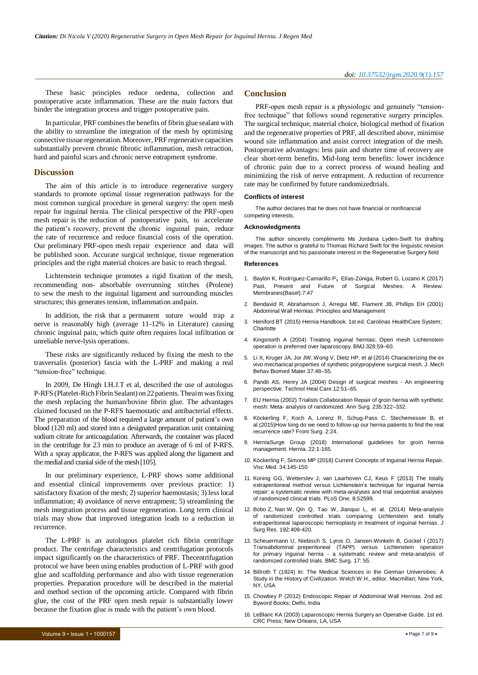These basic principles reduce oedema, collection and postoperative acute inflammation. These are the main factors that hinder the integration process and trigger postoperative pain.

In particular, PRF combines the benefits of fibrin glue sealant with the ability to streamline the integration of the mesh by optimising connective tissue regeneration.Moreover, PRFregenerative capacities substantially prevent chronic fibrotic inflammation, mesh retraction, hard and painful scars and chronic nerve entrapment syndrome.

#### **Discussion**

The aim of this article is to introduce regenerative surgery standards to promote optimal tissue regeneration pathways for the most common surgical procedure in general surgery: the open mesh repair for inguinal hernia. The clinical perspective of the PRF-open mesh repair is the reduction of postoperative pain, to accelerate the patient's recovery, prevent the chronic inguinal pain, reduce the rate of recurrence and reduce financial costs of the operation. Our preliminary PRF-open mesh repair experience and data will be published soon. Accurate surgical technique, tissue regeneration principles and the right material choices are basic to reach thegoal.

Lichtenstein technique promotes a rigid fixation of the mesh, recommending non- absorbable overrunning stitches (Prolene) to sew the mesh to the inguinal ligament and surrounding muscles structures; this generates tension, inflammation and pain.

In addition, the risk that a permanent suture would trap a nerve is reasonably high (average 11-12% in Literature) causing chronic inguinal pain, which quite often requires local infiltration or unreliable nerve-lysis operations.

These risks are significantly reduced by fixing the mesh to the trasversalis (posterior) fascia with the L-PRF and making a real "tension-free" technique.

In 2009, De Hingh I.H.J.T et al, described the use of autologus P-RFS (Platelet-Rich Fibrin Sealant) on 22 patients. Theaim was fixing the mesh replacing the human/bovine fibrin glue. The advantages claimed focused on the P-RFS haemostatic and antibacterial effects. The preparation of the blood required a large amount of patient's own blood (120 ml) and stored into a designated preparation unit containing sodium citrate for anticoagulation. Afterwards, the container was placed in the centrifuge for 23 min to produce an average of 6 ml of P-RFS. With a spray applicator, the P-RFS was applied along the ligament and the medial and cranial side of the mesh [105].

In our preliminary experience, L-PRF shows some additional and essential clinical improvements over previous practice: 1) satisfactory fixation of the mesh; 2) superior haemostasis; 3) less local inflammation; 4) avoidance of nerve entrapment; 5) streamlining the mesh integration process and tissue regeneration. Long term clinical trials may show that improved integration leads to a reduction in recurrence.

The L-PRF is an autologous platelet rich fibrin centrifuge product. The centrifuge characteristics and centrifugation protocols impact significantly on the characteristics of PRF. Thecentrifugation protocol we have been using enables production of L-PRF with good glue and scaffolding performance and also with tissue regeneration properties. Preparation procedure will be described in the material and method section of the upcoming article. Compared with fibrin glue, the cost of the PRF open mesh repair is substantially lower because the fixation glue is made with the patient's own blood.

## **Conclusion**

PRF-open mesh repair is a physiologic and genuinely "tensionfree technique" that follows sound regenerative surgery principles. The surgical technique, material choice, biological method of fixation and the regenerative properties of PRF, all described above, minimise wound site inflammation and assist correct integration of the mesh. Postoperative advantages: less pain and shorter time of recovery are clear short-term benefits. Mid-long term benefits: lower incidence of chronic pain due to a correct process of wound healing and minimizing the risk of nerve entrapment. A reduction of recurrence rate may be confirmed by future randomizedtrials.

#### **Conflicts of interest**

The author declares that he does not have financial or nonfinancial competing interests.

#### **Acknowledgments**

The author sincerely compliments Ms Jordana Lyden-Swift for drafting images. The author is grateful to Thomas Richard Swift for the linguistic revision of the manuscript and his passionate interest in the Regenerative Surgery field

#### **References**

- 1. Baylón K, Rodríguez-Camarillo P, [Elías-Zúniga, Robert G, Lozano K \(2017\)](https://www.mdpi.com/2077-0375/7/3/47) Past, Present [and Future of Surgical Meshes: A Review.](https://www.mdpi.com/2077-0375/7/3/47) [Membranes\(Basel\).7:47](https://www.mdpi.com/2077-0375/7/3/47)
- 2. Bendavid R, Abrahamson J, Arregui ME, Flament JB, Phillips EH (2001) Abdominal Wall Hernias: Principles and Management
- 3. Heniford BT (2015) Hernia Handbook. 1st ed. Carolinas HealthCare System; **Charlotte**
- 4. [Kingsnorth A \(2004\) Treating inguinal hernias: Open mesh Lichtenstein](https://www.bmj.com/content/328/7431/59) [operation is preferred over laparoscopy.](https://www.bmj.com/content/328/7431/59) BMJ.328:59–60.
- 5. Li X, Kruger JA, Jor JW, Wong V, Dietz HP, et al (2014) [Characterizing](https://www.sciencedirect.com/science/article/pii/S1751616114001301?via%3Dihub) the e[x](https://www.sciencedirect.com/science/article/pii/S1751616114001301?via%3Dihub) vivo mechanical properties of synthetic [polypropylene](https://www.sciencedirect.com/science/article/pii/S1751616114001301?via%3Dihub) surgical mesh. J. Mec[h](https://www.sciencedirect.com/science/article/pii/S1751616114001301?via%3Dihub) Behav Biomed [Mater.37:48–55.](https://www.sciencedirect.com/science/article/pii/S1751616114001301?via%3Dihub)
- 6. Pandit AS, Henry JA (2004) Design of surgical meshes An engineering perspective. Technol Heal Care.12:51–65.
- 7. [EU Hernia \(2002\) Trialists Collaboration Repair of groin hernia with synthetic](https://doi.org/10.1097/00000658-200203000-00003) mesh: Meta- [analysis of randomized. Ann Surg.](https://doi.org/10.1097/00000658-200203000-00003) 235:322–332.
- 8. [Köckerling F, Koch A, Lorenz R, Schug-Pass C, Stechemesser B, et](https://www.frontiersin.org/articles/10.3389/fsurg.2015.00024/full) [al.\(2015\)How](https://www.frontiersin.org/articles/10.3389/fsurg.2015.00024/full) long do we need to follow-up our hernia patients to find the re[al](https://www.frontiersin.org/articles/10.3389/fsurg.2015.00024/full) [recurrence rate? Front Surg. 2:24.](https://www.frontiersin.org/articles/10.3389/fsurg.2015.00024/full)
- 9. [HerniaSurge Group \(2018\) International guidelines for groin hernia](https://link.springer.com/article/10.1007/s10029-017-1668-x) [management. Hernia.](https://link.springer.com/article/10.1007/s10029-017-1668-x) 22:1-165.
- 10. [Köckerling](https://www.karger.com/Article/FullText/487278) F, Simons MP (2018) Current Concepts of Inguinal Hernia Repa[ir.](https://www.karger.com/Article/FullText/487278) [Visc Med. 34:145-150](https://www.karger.com/Article/FullText/487278)
- 11. Koning GG, Wetterslev J, van Laarhoven CJ, Keus F (2013) The totally extraperitoneal method versus Lichtenstein's technique for inguinal hernia repair: a systematic review with meta-analyses and trial sequential analyses of randomized clinical trials. PLoS One. 8:52599.
- 12. [Bobo Z, Nan W, Qin Q, Tao W, Jianquo L, et al. \(2014\) Meta-analysis](https://www.journalofsurgicalresearch.com/article/S0022-4804(14)00545-9/fulltext) [of randomized controlled trials comparing Lichtenstein and totally](https://www.journalofsurgicalresearch.com/article/S0022-4804(14)00545-9/fulltext) [extraperitoneal laparoscopic hernioplasty in treatment of inguinal hernias. J](https://www.journalofsurgicalresearch.com/article/S0022-4804(14)00545-9/fulltext) Surg Res. [192:409-420.](https://www.journalofsurgicalresearch.com/article/S0022-4804(14)00545-9/fulltext)
- 13. [Scheuermann U, Niebisch S, Lyros O, Jansen-Winkeln B, Gockel I \(2017\)](https://bmcsurg.biomedcentral.com/articles/10.1186/s12893-017-0253-7) [Transabdominal preperitoneal \(TAPP\) versus Lichtenstein operation](https://bmcsurg.biomedcentral.com/articles/10.1186/s12893-017-0253-7) for primary inguinal hernia - [a systematic review and meta-analysis of](https://bmcsurg.biomedcentral.com/articles/10.1186/s12893-017-0253-7) [randomized controlled trials. BMC Surg. 17:](https://bmcsurg.biomedcentral.com/articles/10.1186/s12893-017-0253-7) 55.
- 14. Billroth T (1924) In: The Medical Sciences in the German Universities: A Study in the History of Civilization. Welch W.H., editor. Macmillan; New York, NY USA
- 15. Chowbey P (2012) Endoscopic Repair of Abdominal Wall Hernias. 2nd ed. Byword Books; Delhi, India
- 16. LeBlanc KA (2003) Laparoscopic Hernia Surgery an Operative Guide. 1st ed. CRC Press; New Orleans, LA, USA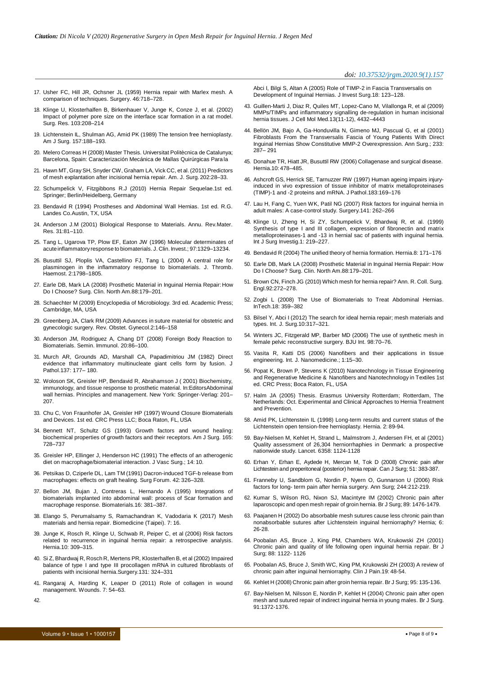- 17. Usher FC, Hill JR, Ochsner JL (1959) Hernia repair with Marlex mesh. A comparison of techniques. Surgery. 46:718–728.
- 18. [Klinge U, Klosterhalfen B, Birkenhauer V, Junge K, Conze J, et al. \(2002\)](https://linkinghub.elsevier.com/retrieve/pii/S0022480402963584) [Impact of polymer pore size on the interface scar formation in a rat model.](https://linkinghub.elsevier.com/retrieve/pii/S0022480402963584) Surg. Res. [103:208–214](https://linkinghub.elsevier.com/retrieve/pii/S0022480402963584)
- 19. [Lichtenstein IL, Shulman AG, Amid PK \(1989\) The tension free hernioplasty.](https://www.americanjournalofsurgery.com/article/0002-9610(89)90526-6/pdf) Am J Surg. [157:188–193.](https://www.americanjournalofsurgery.com/article/0002-9610(89)90526-6/pdf)
- 20. Melero Correas H (2008) Master Thesis. Universitat Politècnica de Catalunya; Barcelona, Spain: Caracterización Mecánica de Mallas Quirúrgicas Para la
- 21. Hawn MT, GraySH, Snyder CW, Graham LA, Vick CC, et al. (2011) Predictors of mesh explantation after incisional hernia repair. Am. J. Surg. 202:28–33.
- 22. Schumpelick V, Fitzgibbons R.J (2010) Hernia Repair Sequelae.1st ed. Springer; Berlin/Heidelberg, Germany
- 23. Bendavid R (1994) Prostheses and Abdominal Wall Hernias. 1st ed. R.G. Landes Co.Austin, TX, USA
- 24. Anderson J.M (2001) Biological Response to Materials. Annu. Rev.Mater. Res. 31:81–110.
- 25. [Tang L, Ugarova TP, Plow EF, Eaton JW \(1996\) Molecular determinates of](https://www.jci.org/articles/view/118549) acute inflammatory response to biomaterials. J. Clin. Invest.; 97:1329-13234.
- 26. [Busuttil SJ, Ploplis VA, Castellino FJ, Tang L \(2004\) A central role for](https://www.ncbi.nlm.nih.gov/pubmed/15456492) [plasminogen in the inflammatory response to biomaterials. J. Thromb.](https://www.ncbi.nlm.nih.gov/pubmed/15456492) Haemost. [2:1798–1805.](https://www.ncbi.nlm.nih.gov/pubmed/15456492)
- 27. [Earle DB, Mark LA \(2008\) Prosthetic Material in Inguinal Hernia Repair:](https://www.sciencedirect.com/science/article/abs/pii/S0039610907001715?via%3Dihub) Ho[w](https://www.sciencedirect.com/science/article/abs/pii/S0039610907001715?via%3Dihub) [Do I Choose? Surg. Clin. North](https://www.sciencedirect.com/science/article/abs/pii/S0039610907001715?via%3Dihub) Am.88:179–201.
- 28. Schaechter M (2009) Encyclopedia of Microbiology. 3rd ed. Academic Press; Cambridge, MA, USA
- 29. Greenberg JA, Clark RM (2009) Advances in suture material for obstetric and gynecologic surgery. Rev. Obstet. Gynecol.2:146–158
- 30. [Anderson JM, Rodriguez A, Chang DT \(2008\) Foreign Body Reaction to](https://www.sciencedirect.com/science/article/abs/pii/S1044532307000966?via%3Dihub) [Biomaterials. Semin. Immunol. 20:86–100.](https://www.sciencedirect.com/science/article/abs/pii/S1044532307000966?via%3Dihub)
- 31. [Murch AR, Grounds AD, Marshall CA, Papadimitriou JM \(1982\) Direct](https://onlinelibrary.wiley.com/doi/abs/10.1002/path.1711370302) [evidence that inflammatory multinucleate giant cells form by fusion. J](https://onlinelibrary.wiley.com/doi/abs/10.1002/path.1711370302) [Pathol.137: 177–](https://onlinelibrary.wiley.com/doi/abs/10.1002/path.1711370302) 180.
- 32. Woloson SK, Greisler HP, Bendavid R, Abrahamson J ( 2001) Biochemistry, immunology, and tissue response to prosthetic material. In:EditorsAbdominal wall hernias. Principles and management. New York: Springer-Verlag: 201– 207.
- 33. Chu C, Von Fraunhofer JA, Greisler HP (1997) Wound Closure Biomaterials and Devices. 1st ed. CRC Press LLC; Boca Raton, FL, USA
- 34. [Bennett NT, Schultz GS \(1993\) Growth factors and wound healing:](https://www.americanjournalofsurgery.com/article/S0002-9610(05)80797-4/pdf) [biochemical](https://www.americanjournalofsurgery.com/article/S0002-9610(05)80797-4/pdf) properties of growth factors and their receptors. Am J Surg. 16[5:](https://www.americanjournalofsurgery.com/article/S0002-9610(05)80797-4/pdf) [728–737](https://www.americanjournalofsurgery.com/article/S0002-9610(05)80797-4/pdf)
- 35. Greisler HP, Ellinger J, Henderson HC (1991) The effects of an atherogenic diet on macrophage/biomaterial interaction. J Vasc Surg.; 14: 10.
- 36. Petsikas D, Cziperle DL, Lam TM (1991) Dacron-induced TGF-b release from macrophages: effects on graft healing. Surg Forum. 42: 326–328.
- 37. [Bellon JM, Bujan J, Contreras L, Hernando A \(1995\) Integrations of](https://www.sciencedirect.com/science/article/pii/0142961295988558?via%3Dihub) [biomaterials implanted into abdominal wall: process of Scar formation and](https://www.sciencedirect.com/science/article/pii/0142961295988558?via%3Dihub) [macrophage response. Biomaterials.16:](https://www.sciencedirect.com/science/article/pii/0142961295988558?via%3Dihub) 381–387.
- 38. [Elango S, Perumalsamy S, Ramachandran K, Vadodaria K \(2017\) Mesh](https://biomedicine.edp-open.org/articles/bmdcn/abs/2017/03/bmdcn2017070316/bmdcn2017070316.html) [materials and hernia repair. Biomedicine \(Taipei\). 7:](https://biomedicine.edp-open.org/articles/bmdcn/abs/2017/03/bmdcn2017070316/bmdcn2017070316.html) 16.
- 39. [Junge K, Rosch R, Klinge U, Schwab R, Peiper C, et al \(2006\) Risk factors](https://link.springer.com/article/10.1007/s10029-006-0096-0) [related to recurrence in inguinal hernia repair: a retrospective analysis.](https://link.springer.com/article/10.1007/s10029-006-0096-0) [Hernia.10:](https://link.springer.com/article/10.1007/s10029-006-0096-0) 309–315.
- 40. Si Z, Bhardwaj R, Rosch R, Mertens PR, [Klosterhalfen](https://www.surgjournal.com/article/S0039-6060(02)86408-X/fulltext) B, et al (2002) Impaire[d](https://www.surgjournal.com/article/S0039-6060(02)86408-X/fulltext) [balance of type I and type III procollagen mRNA in cultured fibroblasts of](https://www.surgjournal.com/article/S0039-6060(02)86408-X/fulltext) [patients with incisional hernia.Surgery.131:](https://www.surgjournal.com/article/S0039-6060(02)86408-X/fulltext) 324–331
- 41. Rangaraj A, Harding K, Leaper D (2011) Role of collagen in wound management. Wounds. 7: 54–63.

[Abci I, Bilgi S, Altan A \(2005\) Role of TIMP-2 in Fascia Transversalis on](https://www.tandfonline.com/doi/abs/10.1080/08941930590956147?journalCode=iivs20) [Development of Inguinal Hernias. J Invest Surg.18: 123–128.](https://www.tandfonline.com/doi/abs/10.1080/08941930590956147?journalCode=iivs20)

- 43. [Guillen-Marti J, Diaz R, Quiles MT, Lopez-Cano M, Vilallonga R, et al \(2009\)](https://onlinelibrary.wiley.com/doi/full/10.1111/j.1582-4934.2008.00637.x) [MMPs/TIMPs and inflammatory signalling de-regulation in human incisional](https://onlinelibrary.wiley.com/doi/full/10.1111/j.1582-4934.2008.00637.x) [hernia tissues. J Cell Mol Med.13\(11-12\),](https://onlinelibrary.wiley.com/doi/full/10.1111/j.1582-4934.2008.00637.x) 4432–4443
- 44. [Bellön JM, Bajo A, Ga-Honduvilla N, Gimeno MJ, Pascual G, et al \(2001\)](https://journals.lww.com/annalsofsurgery/Abstract/2001/02000/Fibroblasts_From_the_Transversalis_Fascia_of_Young.20.aspx) [Fibroblasts From the Transversalis Fascia of Young Patients With Direct](https://journals.lww.com/annalsofsurgery/Abstract/2001/02000/Fibroblasts_From_the_Transversalis_Fascia_of_Young.20.aspx) [Inguinal Hernias Show Constitutive MMP-2 Overexpression. Ann Surg.; 233:](https://journals.lww.com/annalsofsurgery/Abstract/2001/02000/Fibroblasts_From_the_Transversalis_Fascia_of_Young.20.aspx) [287–](https://journals.lww.com/annalsofsurgery/Abstract/2001/02000/Fibroblasts_From_the_Transversalis_Fascia_of_Young.20.aspx) 291
- 45. Donahue TR, Hiatt JR, Busuttil RW (2006) [Collagenase](https://link.springer.com/article/10.1007%2Fs10029-006-0146-7) and surgical diseas[e.](https://link.springer.com/article/10.1007%2Fs10029-006-0146-7) [Hernia.10:](https://link.springer.com/article/10.1007%2Fs10029-006-0146-7) 478–485.
- 46. Ashcroft GS, Herrick SE, Tarnuzzer RW (1997) Human ageing impairs injuryinduced in vivo expression of tissue inhibitor of matrix metalloproteinases (TIMP)-1 and -2 proteins and mRNA. J Pathol.183:169–176
- 47. [Lau H, Fang C, Yuen WK, Patil NG \(2007\) Risk factors for inguinal hernia in](https://www.surgjournal.com/article/S0039-6060(06)00300-X/fulltext) [adult males: A case-control study. Surgery.141:](https://www.surgjournal.com/article/S0039-6060(06)00300-X/fulltext) 262–266
- 48. Klinge U, Zheng H, Si ZY, Schumpelick V, Bhardwaj R, et al. (1999) Synthesis of type I and III collagen, expression of fibronectin and matrix metalloproteinases-1 and -13 in hernial sac of patients with inguinal hernia. Int J Surg Investig.1: 219–227.
- 49. Bendavid R (2004) The unified theory of hernia formation. Hernia.8: 171–176
- 50. [Earle DB, Mark LA \(2008\) Prosthetic Material in Inguinal Hernia Repair: How](https://www.sciencedirect.com/science/article/abs/pii/S0039610907001715?via%3Dihub) [Do I Choose? Surg. Clin. North](https://www.sciencedirect.com/science/article/abs/pii/S0039610907001715?via%3Dihub) Am.88:179–201.
- 51. Brown CN, Finch JG (2010) Which mesh for hernia [repair?](https://publishing.rcseng.ac.uk/doi/10.1308/003588410X12664192076296) Ann. R. Coll. Sur[g.](https://publishing.rcseng.ac.uk/doi/10.1308/003588410X12664192076296) [Engl.92:272–278.](https://publishing.rcseng.ac.uk/doi/10.1308/003588410X12664192076296)
- 52. Zogbi L (2008) The Use of Biomaterials to Treat Abdominal Hernias. InTech.18: 359–382
- 53. [Bilsel Y, Abci I \(2012\) The search for ideal hernia repair; mesh materials and](https://www.sciencedirect.com/science/article/pii/S1743919112000921?via%3Dihub) types. Int. J. [Surg.10:317–321.](https://www.sciencedirect.com/science/article/pii/S1743919112000921?via%3Dihub)
- 54. [Winters JC, Fitzgerald MP, Barber MD \(2006\) The use of synthetic mesh in](https://bjui-journals.onlinelibrary.wiley.com/doi/full/10.1111/j.1464-410X.2006.06309.x) [female pelvic reconstructive surgery. BJU Int.](https://bjui-journals.onlinelibrary.wiley.com/doi/full/10.1111/j.1464-410X.2006.06309.x) 98:70–76.
- 55. Vasita R, Katti DS (2006) Nanofibers and their applications in tissue engineering. Int. J. Nanomedicine.; 1:15–30.
- 56. Popat K, Brown P, Stevens K (2010) Nanotechnology in Tissue Engineering and Regenerative Medicine & Nanofibers and Nanotechnology in Textiles 1st ed. CRC Press; Boca Raton, FL, USA
- 57. Halm JA (2005) Thesis. Erasmus University Rotterdam; Rotterdam, The Netherlands: Oct. Experimental and Clinical Approaches to Hernia Treatment and Prevention.
- 58. Amid PK, Lichtenstein IL (1998) Long-term results and current status of the Lichtenstein open tension-free hernioplasty. Hernia. 2: 89-94.
- 59. [Bay-Nielsen M, Kehlet H, Strand L, Malmstrom J, Andersen FH, et al \(2001\)](https://www.thelancet.com/journals/lancet/article/PIIS0140-6736(01)06251-1/fulltext) [Quality assessment of 26,304 herniorrhaphies in Denmark: a prospective](https://www.thelancet.com/journals/lancet/article/PIIS0140-6736(01)06251-1/fulltext) [nationwide study. Lancet. 6358:](https://www.thelancet.com/journals/lancet/article/PIIS0140-6736(01)06251-1/fulltext) 1124-1128
- 60. Erhan Y, Erhan E, Aydede H, Mercan M, Tok D (2008) Chronic pain after Lichtestein and preperitoneal (posterior) hernia repair. Can J Surg; 51: 383-387.
- 61. [Franneby U, Sandblom G, Nordin P, Nyern O, Gunnarson U \(2006\) Risk](https://journals.lww.com/annalsofsurgery/Abstract/2006/08000/Risk_Factors_for_Long_term_Pain_After_Hernia.7.aspx) factors for long- [term pain after hernia surgery. Ann Surg; 244:212-219.](https://journals.lww.com/annalsofsurgery/Abstract/2006/08000/Risk_Factors_for_Long_term_Pain_After_Hernia.7.aspx)
- 62. [Kumar S, Wilson RG, Nixon SJ, Macintyre IM \(2002\) Chronic pain after](https://bjssjournals.onlinelibrary.wiley.com/doi/abs/10.1046/j.1365-2168.2002.02260.x) [laparoscopic](https://bjssjournals.onlinelibrary.wiley.com/doi/abs/10.1046/j.1365-2168.2002.02260.x) and open mesh repair of groin hernia. Br J Surg; 89: 1476-1479.
- 63. Paajanen H (2002) Do [absorbable](https://link.springer.com/article/10.1007%2Fs10029-002-0048-2) mesh sutures cause less chronic pain tha[n](https://link.springer.com/article/10.1007%2Fs10029-002-0048-2) [nonabsorbable sutures after Lichtenstein inguinal herniorraphy? Hernia; 6:](https://link.springer.com/article/10.1007%2Fs10029-002-0048-2) [26-28.](https://link.springer.com/article/10.1007%2Fs10029-002-0048-2)
- 64. [Poobalan AS, Bruce J, King PM, Chambers WA, Krukowski ZH \(2001\)](https://bjssjournals.onlinelibrary.wiley.com/doi/abs/10.1046/j.0007-1323.2001.01828.x) [Chronic pain and quality of life following open inguinal hernia repair. Br J](https://bjssjournals.onlinelibrary.wiley.com/doi/abs/10.1046/j.0007-1323.2001.01828.x) [Surg; 88: 1122-](https://bjssjournals.onlinelibrary.wiley.com/doi/abs/10.1046/j.0007-1323.2001.01828.x) 1126
- 65. Poobalan AS, Bruce J, Smith WC, King PM, [Krukowski](https://journals.lww.com/clinicalpain/Abstract/2003/01000/A_Review_of_Chronic_Pain_After_Inguinal.6.aspx) ZH (2003) A review [of](https://journals.lww.com/clinicalpain/Abstract/2003/01000/A_Review_of_Chronic_Pain_After_Inguinal.6.aspx) [chronic pain after inguinal herniorraphy. Clin J Pain.19:](https://journals.lww.com/clinicalpain/Abstract/2003/01000/A_Review_of_Chronic_Pain_After_Inguinal.6.aspx) 48-54.
- 66. Kehlet H (2008) Chronic pain after groin hernia repair. Br J Surg; 95: 135-136.
- 67. [Bay-Nielsen](https://bjssjournals.onlinelibrary.wiley.com/doi/abs/10.1002/bjs.4502) M, Nilsson E, Nordin P, Kehlet H (2004) Chronic pain after ope[n](https://bjssjournals.onlinelibrary.wiley.com/doi/abs/10.1002/bjs.4502) mesh and sutured repair of indirect [inguinal](https://bjssjournals.onlinelibrary.wiley.com/doi/abs/10.1002/bjs.4502) hernia in young males. Br J Sur[g.](https://bjssjournals.onlinelibrary.wiley.com/doi/abs/10.1002/bjs.4502) [91:1372-1376.](https://bjssjournals.onlinelibrary.wiley.com/doi/abs/10.1002/bjs.4502)

42.